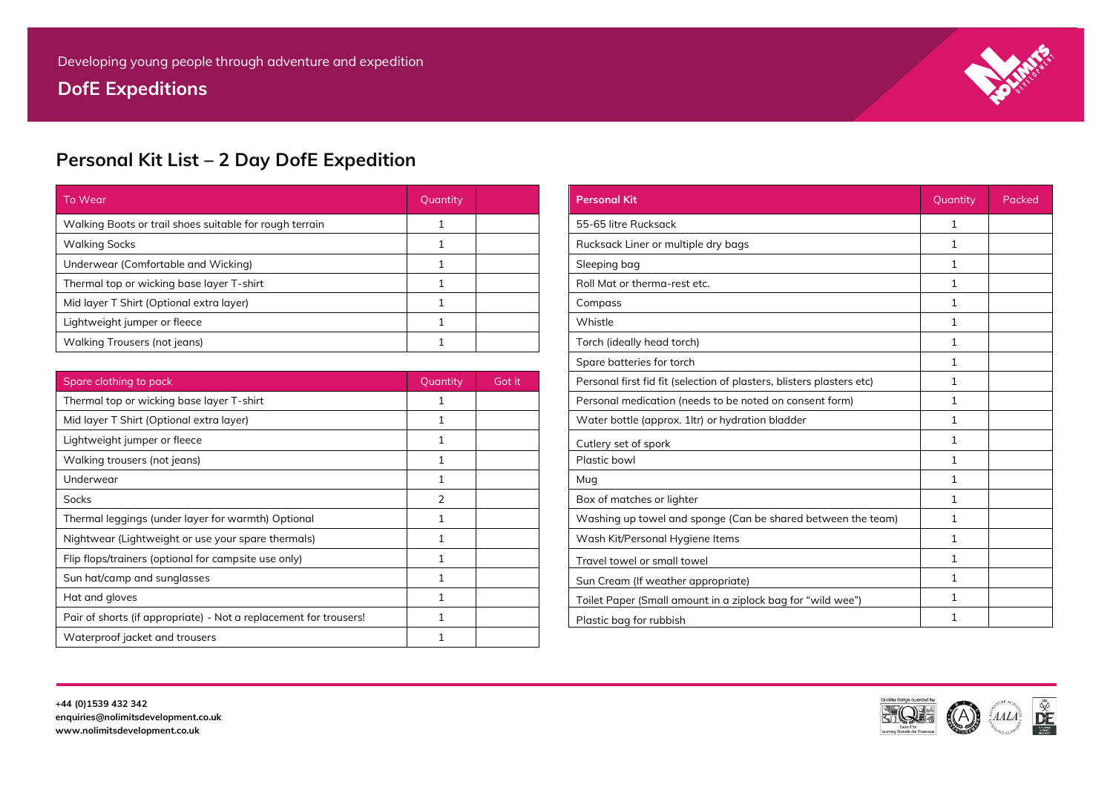**DofE Expeditions**



## **Personal Kit List – 2 Day DofE Expedition**

| To Wear                                                 | Quantity |  | <b>Personal Kit</b>                 | Quantity | Packed |
|---------------------------------------------------------|----------|--|-------------------------------------|----------|--------|
| Walking Boots or trail shoes suitable for rough terrain |          |  | 55-65 litre Rucksack                |          |        |
| <b>Walking Socks</b>                                    |          |  | Rucksack Liner or multiple dry bags |          |        |
| Underwear (Comfortable and Wicking)                     |          |  | Sleeping bag                        |          |        |
| Thermal top or wicking base layer T-shirt               |          |  | Roll Mat or therma-rest etc.        |          |        |
| Mid layer T Shirt (Optional extra layer)                |          |  | Compass                             |          |        |
| Lightweight jumper or fleece                            |          |  | Whistle                             |          |        |
| Walking Trousers (not jeans)                            |          |  | Torch (ideally head torch)          |          |        |

| Spare clothing to pack                                            | Quantity       | Got it |
|-------------------------------------------------------------------|----------------|--------|
| Thermal top or wicking base layer T-shirt                         |                |        |
| Mid layer T Shirt (Optional extra layer)                          |                |        |
| Lightweight jumper or fleece                                      |                |        |
| Walking trousers (not jeans)                                      |                |        |
| Underwear                                                         |                |        |
| <b>Socks</b>                                                      | $\overline{2}$ |        |
| Thermal leggings (under layer for warmth) Optional                |                |        |
| Nightwear (Lightweight or use your spare thermals)                |                |        |
| Flip flops/trainers (optional for campsite use only)              |                |        |
| Sun hat/camp and sunglasses                                       |                |        |
| Hat and gloves                                                    |                |        |
| Pair of shorts (if appropriate) - Not a replacement for trousers! |                |        |
| Waterproof jacket and trousers                                    |                |        |

| <b>Personal Kit</b>                                                   | Quantity     | Packed |
|-----------------------------------------------------------------------|--------------|--------|
| 55-65 litre Rucksack                                                  | $\mathbf{1}$ |        |
| Rucksack Liner or multiple dry bags                                   | $\mathbf{1}$ |        |
| Sleeping bag                                                          | 1            |        |
| Roll Mat or therma-rest etc.                                          | $\mathbf{1}$ |        |
| Compass                                                               | 1            |        |
| Whistle                                                               | 1            |        |
| Torch (ideally head torch)                                            | $\mathbf{1}$ |        |
| Spare batteries for torch                                             | 1            |        |
| Personal first fid fit (selection of plasters, blisters plasters etc) | $\mathbf{1}$ |        |
| Personal medication (needs to be noted on consent form)               | $\mathbf{1}$ |        |
| Water bottle (approx. 1ltr) or hydration bladder                      | $\mathbf{1}$ |        |
| Cutlery set of spork                                                  | 1            |        |
| Plastic bowl                                                          | $\mathbf{1}$ |        |
| Mug                                                                   | $\mathbf{1}$ |        |
| Box of matches or lighter                                             | $\mathbf{1}$ |        |
| Washing up towel and sponge (Can be shared between the team)          | 1            |        |
| Wash Kit/Personal Hygiene Items                                       | $\mathbf{1}$ |        |
| Travel towel or small towel                                           | $\mathbf{1}$ |        |
| Sun Cream (If weather appropriate)                                    | $\mathbf{1}$ |        |
| Toilet Paper (Small amount in a ziplock bag for "wild wee")           | $\mathbf{1}$ |        |
| Plastic bag for rubbish                                               | 1            |        |